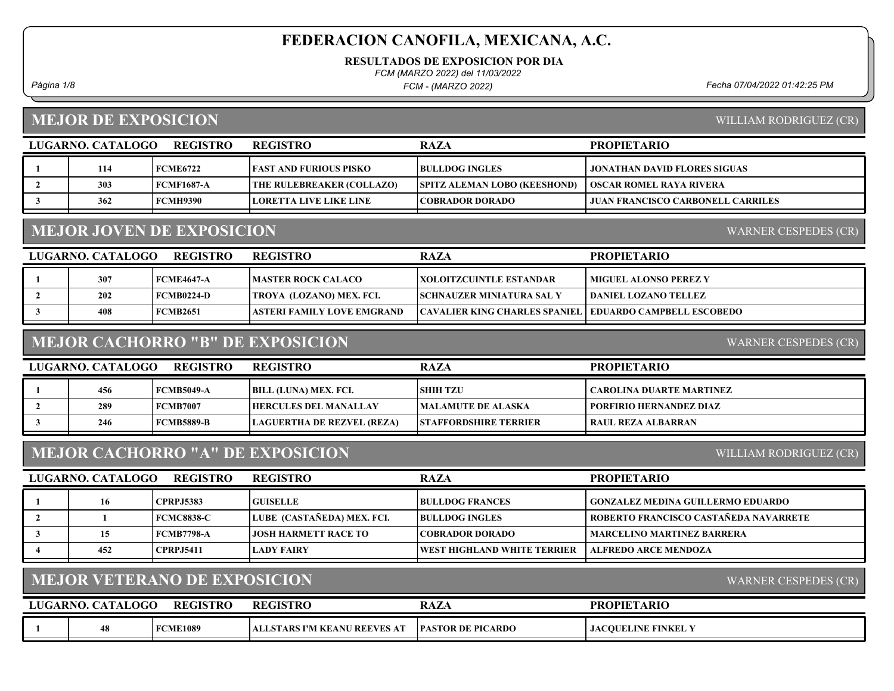RESULTADOS DE EXPOSICION POR DIA

FCM (MARZO 2022) del 11/03/2022

FCM - (MARZO 2022)

Página 1/8 Fecha 07/04/2022 01:42:25 PM

#### MEJOR DE EXPOSICION

WILLIAM RODRIGUEZ (CR)

| LUGARNO. CATALOGO                                        | <b>REGISTRO</b>   | REGISTRO                         | <b>RAZA</b>                         | <b>PROPIETARIO</b>                       |  |
|----------------------------------------------------------|-------------------|----------------------------------|-------------------------------------|------------------------------------------|--|
| 114                                                      | <b>FCME6722</b>   | <b>FAST AND FURIOUS PISKO</b>    | <b>BULLDOG INGLES</b>               | <b>JONATHAN DAVID FLORES SIGUAS</b>      |  |
| 303                                                      | <b>FCMF1687-A</b> | <b>THE RULEBREAKER (COLLAZO)</b> | <b>SPITZ ALEMAN LOBO (KEESHOND)</b> | <b>OSCAR ROMEL RAYA RIVERA</b>           |  |
| 362                                                      | <b>FCMH9390</b>   | LORETTA LIVE LIKE LINE           | COBRADOR DORADO                     | <b>JUAN FRANCISCO CARBONELL CARRILES</b> |  |
|                                                          |                   |                                  |                                     |                                          |  |
| <b>MEJOR JOVEN DE EXPOSICION</b><br>WARNER CESPEDES (CR) |                   |                                  |                                     |                                          |  |

#### MEJOR JOVEN DE EXPOSICION

LUGARNO. CATALOGO REGISTRO RAZA PROPIETARIO REGISTRO 1 307 FCME4647-A MASTER ROCK CALACO XOLOITZCUINTLE ESTANDAR MIGUEL ALONSO PEREZ Y 2 202 FCMB0224-D TROYA (LOZANO) MEX. FCI. SCHNAUZER MINIATURA SAL Y DANIEL LOZANO TELLEZ 3 1 408 FCMB2651 ASTERI FAMILY LOVE EMGRAND CAVALIER KING CHARLES SPANIEL EDUARDO CAMPBELL ESCOBEDO

# MEJOR CACHORRO "B" DE EXPOSICION

WARNER CESPEDES (CR)

| LUGARNO. CATALOGO | <b>REGISTRO</b>   | <b>REGISTRO</b>              | <b>RAZA</b>                  | <b>PROPIETARIO</b>       |
|-------------------|-------------------|------------------------------|------------------------------|--------------------------|
|                   |                   |                              |                              |                          |
| 456               | <b>FCMB5049-A</b> | BILL (LUNA) MEX. FCI.        | <b>SHIH TZU</b>              | CAROLINA DUARTE MARTINEZ |
| 289               | <b>FCMB7007</b>   | <b>HERCULES DEL MANALLAY</b> | <b>IMALAMUTE DE ALASKA</b>   | PORFIRIO HERNANDEZ DIAZ  |
| 246               | <b>FCMB5889-B</b> | LAGUERTHA DE REZVEL (REZA)   | <b>STAFFORDSHIRE TERRIER</b> | RAUL REZA ALBARRAN       |
|                   |                   |                              |                              |                          |

#### MEJOR CACHORRO "A" DE EXPOSICION

WILLIAM RODRIGUEZ (CR)

| LUGARNO. CATALOGO | <b>REGISTRO</b>   | <b>REGISTRO</b>            | <b>RAZA</b>                         | <b>PROPIETARIO</b>                       |
|-------------------|-------------------|----------------------------|-------------------------------------|------------------------------------------|
| 16                | <b>CPRPJ5383</b>  | <b>GUISELLE</b>            | <b>BULLDOG FRANCES</b>              | <b>GONZALEZ MEDINA GUILLERMO EDUARDO</b> |
|                   | <b>FCMC8838-C</b> | LUBE (CASTAÑEDA) MEX. FCI. | <b>IBULLDOG INGLES</b>              | ROBERTO FRANCISCO CASTAÑEDA NAVARRETE    |
| 15                | FCMB7798-A        | LIOSH HARMETT RACE TO .    | COBRADOR DORADO_                    | <b>MARCELINO MARTINEZ BARRERA</b>        |
| 452               | <b>CPRPJ5411</b>  | <b>LADY FAIRY</b>          | <b>TWEST HIGHLAND WHITE TERRIER</b> | <b>ALFREDO ARCE MENDOZA</b>              |

## MEJOR VETERANO DE EXPOSICION

| WARNER CESPEDES (CR) |  |
|----------------------|--|
|                      |  |

|  |                 | GISTRC                                                | <b>RAZA</b>                         | <b>PROPIET</b><br>fARIC        |
|--|-----------------|-------------------------------------------------------|-------------------------------------|--------------------------------|
|  | <b>FCME1089</b> | <b>J REEVES</b> .<br>S I'M KEANU<br>. AT<br>AL<br>ARS | <b>PICARDO</b><br><b>IPASTOR DE</b> | <b>\COUELINE FINKEL</b><br>JA) |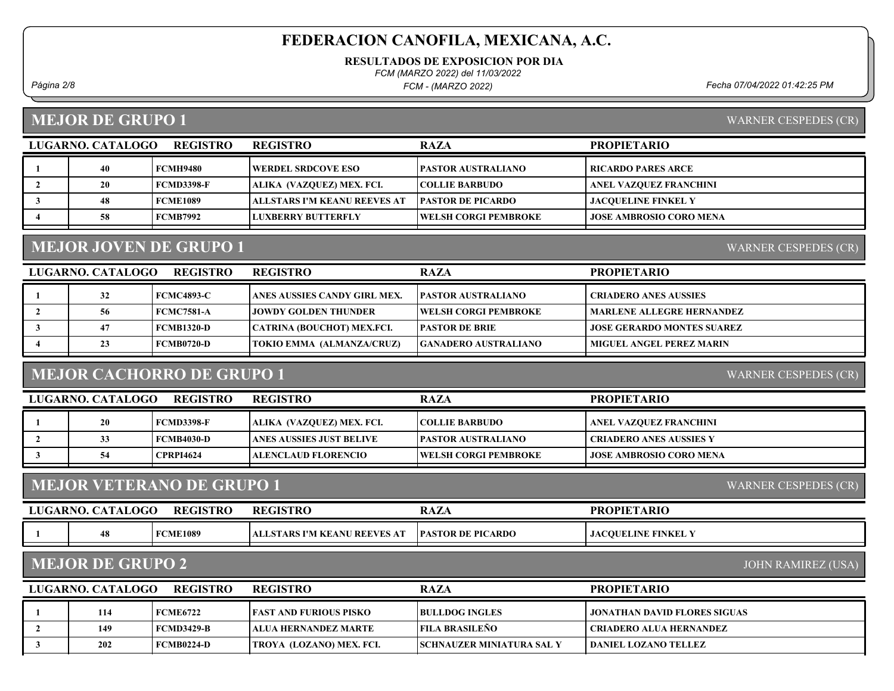RESULTADOS DE EXPOSICION POR DIA

FCM (MARZO 2022) del 11/03/2022

FCM - (MARZO 2022)

Página 2/8 Fecha 07/04/2022 01:42:25 PM

#### MEJOR DE GRUPO 1

| WARNER CESPEDES (CR) |  |
|----------------------|--|
|                      |  |

WARNER CESPEDES (CR)

| LUGARNO. CATALOGO | <b>REGISTRO</b>   | <b>REGISTRO</b>              | <b>RAZA</b>               | <b>PROPIETARIO</b>             |
|-------------------|-------------------|------------------------------|---------------------------|--------------------------------|
|                   | FCMH9480          | <b>WERDEL SRDCOVE ESO</b>    | <b>PASTOR AUSTRALIANO</b> | <b>RICARDO PARES ARCE</b>      |
| 20                | <b>FCMD3398-F</b> | ALIKA  (VAZOUEZ) MEX. FCI.   | <b>COLLIE BARBUDO</b>     | ANEL VAZQUEZ FRANCHINI         |
| 48                | <b>FCME1089</b>   | ALLSTARS I'M KEANU REEVES AT | <b>PASTOR DE PICARDO</b>  | <b>JACOUELINE FINKEL Y</b>     |
| 58                | FCMB7992          | LUXBERRY BUTTERFLY           | WELSH CORGI PEMBROKE      | <b>JOSE AMBROSIO CORO MENA</b> |

# MEJOR JOVEN DE GRUPO 1

LUGARNO. CATALOGO REGISTRO RAZA PROPIETARIO REGISTRO 1 32 FCMC4893-C ANES AUSSIES CANDY GIRL MEX. PASTOR AUSTRALIANO CRIADERO ANES AUSSIES 2 56 FCMC7581-A JOWDY GOLDEN THUNDER WELSH CORGI PEMBROKE MARLENE ALLEGRE HERNANDEZ 3 | 47 FCMB1320-D CATRINA (BOUCHOT) MEX.FCI. PASTOR DE BRIE | JOSE GERARDO MONTES SUAREZ 4 23 FCMB0720-D TOKIO EMMA (ALMANZA/CRUZ) GANADERO AUSTRALIANO MIGUEL ANGEL PEREZ MARIN

#### MEJOR CACHORRO DE GRUPO 1

WARNER CESPEDES (CR)

| LUGARNO. CATALOGO | REGISTRO          | <b>REGISTRO</b>                  | <b>RAZA</b>                 | <b>PROPIETARIO</b>             |
|-------------------|-------------------|----------------------------------|-----------------------------|--------------------------------|
| 20                | FCMD3398-F        | <b>ALIKA (VAZOUEZ) MEX. FCI.</b> | <b>COLLIE BARBUDO</b>       | ANEL VAZQUEZ FRANCHINI         |
| 33                | <b>FCMB4030-D</b> | LANES AUSSIES JUST BELIVE        | <b>IPASTOR AUSTRALIANO</b>  | I CRIADERO ANES AUSSIES Y      |
|                   | <b>CPRPI4624</b>  | ALENCLAUD FLORENCIO_             | <b>WELSH CORGI PEMBROKE</b> | <b>JOSE AMBROSIO CORO MENA</b> |
|                   |                   |                                  |                             |                                |

#### MEJOR VETERANO DE GRUPO 1

| LUGARNO. CATALOGO | <b>REGISTRO</b> | <b>REGISTRO</b>               | <b>RAZA</b>              | <b>PROPIETARIO</b>           |
|-------------------|-----------------|-------------------------------|--------------------------|------------------------------|
| 48                | <b>FCME1089</b> | ALLSTARS I'M KEANU REEVES AT- | <b>PASTOR DE PICARDO</b> | <b>I JACOUELINE FINKEL Y</b> |

#### MEJOR DE GRUPO 2

JOHN RAMIREZ (USA)

WARNER CESPEDES (CR)

| LUGARNO, CATALOGO<br>REGISTRO |     |            | <b>REGISTRO</b>                 | <b>RAZA</b>                       | <b>PROPIETARIO</b>           |
|-------------------------------|-----|------------|---------------------------------|-----------------------------------|------------------------------|
|                               | 114 | FCME6722   | <b>TEAST AND FURIOUS PISKO</b>  | <b>IBULLDOG INGLES</b>            | JONATHAN DAVID FLORES SIGUAS |
|                               | 149 | FCMD3429-B | ALUA HERNANDEZ MARTE            | FILA BRASILEÑO                    | ! CRIADERO ALUA HERNANDEZ-   |
|                               | 202 | FCMB0224-D | <b>TROYA (LOZANO) MEX. FCI.</b> | <b>ISCHNAUZER MINIATURA SAL Y</b> | l daniel lozano tellez       |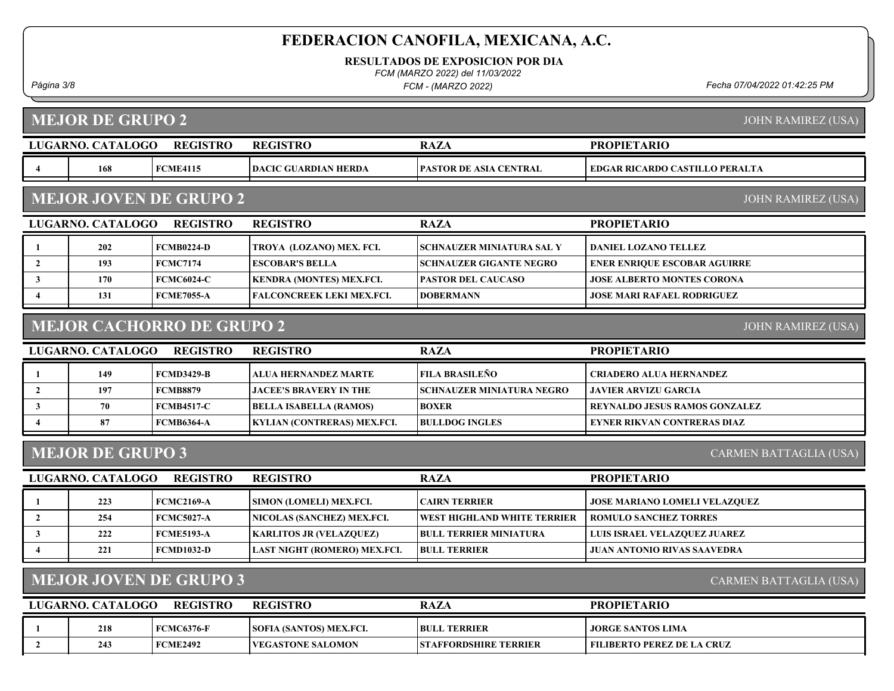RESULTADOS DE EXPOSICION POR DIA

FCM (MARZO 2022) del 11/03/2022

FCM - (MARZO 2022)

Página 3/8 Fecha 07/04/2022 01:42:25 PM

JOHN RAMIREZ (USA)

# MEJOR DE GRUPO 2

|                                                               | LUGARNO. CATALOGO | <b>REGISTRO</b>   | <b>REGISTRO</b>                  | <b>RAZA</b>                        | <b>PROPIETARIO</b>                    |  |
|---------------------------------------------------------------|-------------------|-------------------|----------------------------------|------------------------------------|---------------------------------------|--|
| 4                                                             | 168               | <b>FCME4115</b>   | <b>DACIC GUARDIAN HERDA</b>      | PASTOR DE ASIA CENTRAL             | <b>EDGAR RICARDO CASTILLO PERALTA</b> |  |
| <b>MEJOR JOVEN DE GRUPO 2</b><br><b>JOHN RAMIREZ (USA)</b>    |                   |                   |                                  |                                    |                                       |  |
|                                                               | LUGARNO. CATALOGO | <b>REGISTRO</b>   | <b>REGISTRO</b>                  | <b>RAZA</b>                        | <b>PROPIETARIO</b>                    |  |
| 1                                                             | 202               | <b>FCMB0224-D</b> | TROYA (LOZANO) MEX. FCI.         | <b>SCHNAUZER MINIATURA SAL Y</b>   | <b>DANIEL LOZANO TELLEZ</b>           |  |
| $\overline{2}$                                                | 193               | <b>FCMC7174</b>   | <b>ESCOBAR'S BELLA</b>           | <b>SCHNAUZER GIGANTE NEGRO</b>     | <b>ENER ENRIQUE ESCOBAR AGUIRRE</b>   |  |
| $\mathbf{3}$                                                  | 170               | <b>FCMC6024-C</b> | <b>KENDRA (MONTES) MEX.FCI.</b>  | <b>PASTOR DEL CAUCASO</b>          | <b>JOSE ALBERTO MONTES CORONA</b>     |  |
| $\overline{4}$                                                | 131               | <b>FCME7055-A</b> | <b>FALCONCREEK LEKI MEX.FCI.</b> | <b>DOBERMANN</b>                   | <b>JOSE MARI RAFAEL RODRIGUEZ</b>     |  |
| <b>MEJOR CACHORRO DE GRUPO 2</b><br><b>JOHN RAMIREZ (USA)</b> |                   |                   |                                  |                                    |                                       |  |
|                                                               | LUGARNO. CATALOGO | <b>REGISTRO</b>   | <b>REGISTRO</b>                  | <b>RAZA</b>                        | <b>PROPIETARIO</b>                    |  |
| $\mathbf{1}$                                                  | 149               | <b>FCMD3429-B</b> | <b>ALUA HERNANDEZ MARTE</b>      | <b>FILA BRASILEÑO</b>              | <b>CRIADERO ALUA HERNANDEZ</b>        |  |
| $\overline{2}$                                                | 197               | <b>FCMB8879</b>   | <b>JACEE'S BRAVERY IN THE</b>    | <b>SCHNAUZER MINIATURA NEGRO</b>   | <b>JAVIER ARVIZU GARCIA</b>           |  |
| $\mathbf{3}$                                                  | 70                | <b>FCMB4517-C</b> | <b>BELLA ISABELLA (RAMOS)</b>    | <b>BOXER</b>                       | <b>REYNALDO JESUS RAMOS GONZALEZ</b>  |  |
| 4                                                             | 87                | <b>FCMB6364-A</b> | KYLIAN (CONTRERAS) MEX.FCI.      | <b>BULLDOG INGLES</b>              | <b>EYNER RIKVAN CONTRERAS DIAZ</b>    |  |
| <b>MEJOR DE GRUPO 3</b><br>CARMEN BATTAGLIA (USA)             |                   |                   |                                  |                                    |                                       |  |
|                                                               | LUGARNO. CATALOGO | <b>REGISTRO</b>   | <b>REGISTRO</b>                  | <b>RAZA</b>                        | <b>PROPIETARIO</b>                    |  |
| -1                                                            | 223               | <b>FCMC2169-A</b> | SIMON (LOMELI) MEX.FCI.          | <b>CAIRN TERRIER</b>               | <b>JOSE MARIANO LOMELI VELAZQUEZ</b>  |  |
| $\overline{2}$                                                | 254               | <b>FCMC5027-A</b> | NICOLAS (SANCHEZ) MEX.FCI.       | <b>WEST HIGHLAND WHITE TERRIER</b> | <b>ROMULO SANCHEZ TORRES</b>          |  |
| $\mathbf{3}$                                                  | 222               | <b>FCME5193-A</b> | <b>KARLITOS JR (VELAZQUEZ)</b>   | <b>BULL TERRIER MINIATURA</b>      | LUIS ISRAEL VELAZQUEZ JUAREZ          |  |
| 4                                                             | 221               | <b>FCMD1032-D</b> | LAST NIGHT (ROMERO) MEX.FCI.     | <b>BULL TERRIER</b>                | <b>JUAN ANTONIO RIVAS SAAVEDRA</b>    |  |
|                                                               |                   |                   |                                  |                                    |                                       |  |

#### MEJOR JOVEN DE GRUPO 3

CARMEN BATTAGLIA (USA)

| LUGARNO. CATALOGO | <b>REGISTRO</b>   | <b>REGISTRO</b>                | <b>RAZA</b>                   | <b>PROPIETARIO</b>         |
|-------------------|-------------------|--------------------------------|-------------------------------|----------------------------|
| 218               | <b>FCMC6376-F</b> | <b>SOFIA (SANTOS) MEX.FCI.</b> | <b>BULL TERRIER</b>           | <b>JORGE SANTOS LIMA</b>   |
| 243               | <b>FCME2492</b>   | <b>IVEGASTONE SALOMON</b>      | <b>ISTAFFORDSHIRE TERRIER</b> | FILIBERTO PEREZ DE LA CRUZ |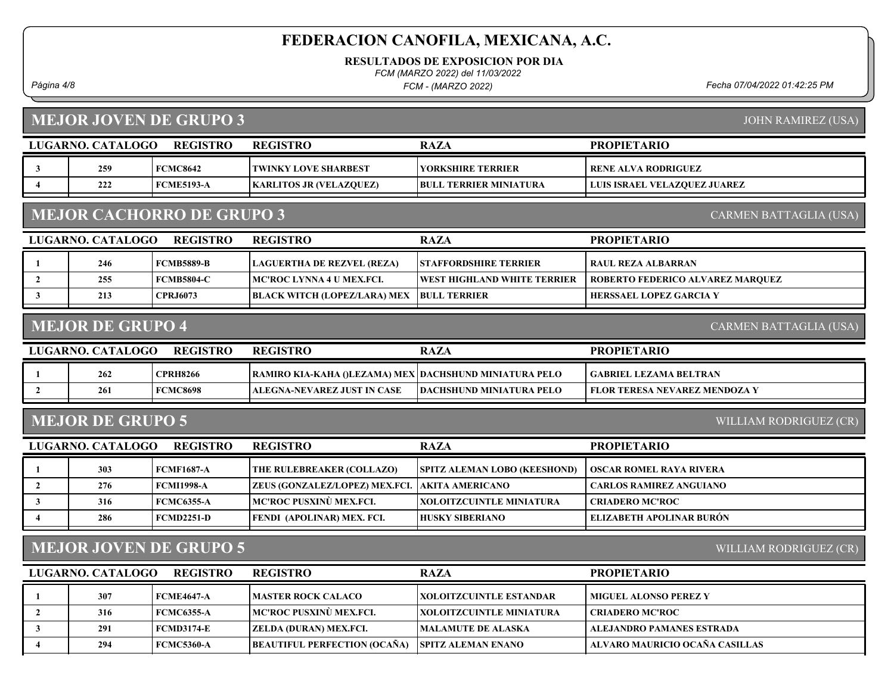RESULTADOS DE EXPOSICION POR DIA

FCM (MARZO 2022) del 11/03/2022

FCM - (MARZO 2022)

Página 4/8 Fecha 07/04/2022 01:42:25 PM

# MEJOR JOVEN DE GRUPO 3

JOHN RAMIREZ (USA)

|                                                         | LUGARNO. CATALOGO                                                 | <b>REGISTRO</b>   | <b>REGISTRO</b>                                        | <b>RAZA</b>                     | <b>PROPIETARIO</b>                   |  |  |
|---------------------------------------------------------|-------------------------------------------------------------------|-------------------|--------------------------------------------------------|---------------------------------|--------------------------------------|--|--|
| 3                                                       | 259                                                               | <b>FCMC8642</b>   | <b>TWINKY LOVE SHARBEST</b>                            | YORKSHIRE TERRIER               | <b>RENE ALVA RODRIGUEZ</b>           |  |  |
| $\overline{\mathbf{4}}$                                 | 222                                                               | <b>FCME5193-A</b> | <b>KARLITOS JR (VELAZOUEZ)</b>                         | <b>BULL TERRIER MINIATURA</b>   | LUIS ISRAEL VELAZQUEZ JUAREZ         |  |  |
|                                                         | <b>MEJOR CACHORRO DE GRUPO 3</b><br><b>CARMEN BATTAGLIA (USA)</b> |                   |                                                        |                                 |                                      |  |  |
|                                                         | LUGARNO. CATALOGO                                                 | <b>REGISTRO</b>   | <b>REGISTRO</b>                                        | <b>RAZA</b>                     | <b>PROPIETARIO</b>                   |  |  |
| -1                                                      | 246                                                               | <b>FCMB5889-B</b> | LAGUERTHA DE REZVEL (REZA)                             | <b>STAFFORDSHIRE TERRIER</b>    | <b>RAUL REZA ALBARRAN</b>            |  |  |
| $\overline{2}$                                          | 255                                                               | <b>FCMB5804-C</b> | MC'ROC LYNNA 4 U MEX.FCI.                              | WEST HIGHLAND WHITE TERRIER     | ROBERTO FEDERICO ALVAREZ MARQUEZ     |  |  |
| $\mathbf{3}$                                            | 213                                                               | <b>CPRJ6073</b>   | <b>BLACK WITCH (LOPEZ/LARA) MEX</b>                    | <b>BULL TERRIER</b>             | HERSSAEL LOPEZ GARCIA Y              |  |  |
|                                                         | <b>MEJOR DE GRUPO 4</b>                                           |                   |                                                        |                                 | <b>CARMEN BATTAGLIA (USA)</b>        |  |  |
|                                                         | LUGARNO. CATALOGO                                                 | <b>REGISTRO</b>   | <b>REGISTRO</b>                                        | <b>RAZA</b>                     | <b>PROPIETARIO</b>                   |  |  |
| $\mathbf{1}$                                            | 262                                                               | <b>CPRH8266</b>   | RAMIRO KIA-KAHA ()LEZAMA) MEX DACHSHUND MINIATURA PELO |                                 | <b>GABRIEL LEZAMA BELTRAN</b>        |  |  |
| $\overline{2}$                                          | 261                                                               | <b>FCMC8698</b>   | <b>ALEGNA-NEVAREZ JUST IN CASE</b>                     | <b>DACHSHUND MINIATURA PELO</b> | <b>FLOR TERESA NEVAREZ MENDOZA Y</b> |  |  |
| <b>MEJOR DE GRUPO 5</b><br>WILLIAM RODRIGUEZ (CR)       |                                                                   |                   |                                                        |                                 |                                      |  |  |
|                                                         | LUGARNO. CATALOGO                                                 | <b>REGISTRO</b>   | <b>REGISTRO</b>                                        | <b>RAZA</b>                     | <b>PROPIETARIO</b>                   |  |  |
| -1                                                      | 303                                                               | <b>FCMF1687-A</b> | THE RULEBREAKER (COLLAZO)                              | SPITZ ALEMAN LOBO (KEESHOND)    | <b>OSCAR ROMEL RAYA RIVERA</b>       |  |  |
| $\overline{2}$                                          | 276                                                               | <b>FCMI1998-A</b> | ZEUS (GONZALEZ/LOPEZ) MEX.FCI.                         | <b>AKITA AMERICANO</b>          | <b>CARLOS RAMIREZ ANGUIANO</b>       |  |  |
| $\mathbf{3}$                                            | 316                                                               | <b>FCMC6355-A</b> | MC'ROC PUSXINÙ MEX.FCI.                                | XOLOITZCUINTLE MINIATURA        | <b>CRIADERO MC'ROC</b>               |  |  |
| $\overline{4}$                                          | 286                                                               | <b>FCMD2251-D</b> | FENDI (APOLINAR) MEX. FCI.                             | <b>HUSKY SIBERIANO</b>          | ELIZABETH APOLINAR BURÓN             |  |  |
| <b>MEJOR JOVEN DE GRUPO 5</b><br>WILLIAM RODRIGUEZ (CR) |                                                                   |                   |                                                        |                                 |                                      |  |  |
|                                                         | LUGARNO. CATALOGO                                                 | <b>REGISTRO</b>   | <b>REGISTRO</b>                                        | <b>RAZA</b>                     | <b>PROPIETARIO</b>                   |  |  |
| $\mathbf{1}$                                            | 307                                                               | <b>FCME4647-A</b> | <b>MASTER ROCK CALACO</b>                              | <b>XOLOITZCUINTLE ESTANDAR</b>  | MIGUEL ALONSO PEREZ Y                |  |  |
| $\overline{2}$                                          | 316                                                               | <b>FCMC6355-A</b> | <b>MC'ROC PUSXINÙ MEX.FCI.</b>                         | <b>XOLOITZCUINTLE MINIATURA</b> | <b>CRIADERO MC'ROC</b>               |  |  |
| $\mathbf{3}$                                            | 291                                                               | <b>FCMD3174-E</b> | ZELDA (DURAN) MEX.FCI.                                 | <b>MALAMUTE DE ALASKA</b>       | <b>ALEJANDRO PAMANES ESTRADA</b>     |  |  |
| $\overline{\mathbf{4}}$                                 | 294                                                               | <b>FCMC5360-A</b> | <b>BEAUTIFUL PERFECTION (OCAÑA)</b>                    | <b>SPITZ ALEMAN ENANO</b>       | ALVARO MAURICIO OCAÑA CASILLAS       |  |  |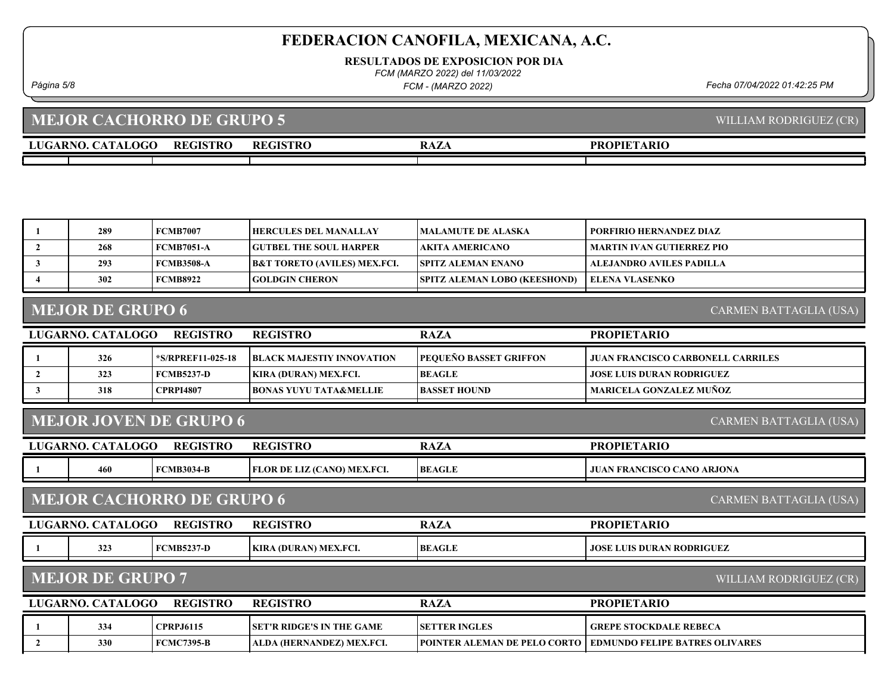RESULTADOS DE EXPOSICION POR DIA

FCM (MARZO 2022) del 11/03/2022

FCM - (MARZO 2022)

Página 5/8 Fecha 07/04/2022 01:42:25 PM

## LUGARNO. CATALOGO REGISTRO RAZA MEJOR CACHORRO DE GRUPO 5 PROPIETARIO REGISTRO 1 289 FCMB7007 HERCULES DEL MANALLAY MALAMUTE DE ALASKA PORFIRIO HERNANDEZ DIAZ 2 268 FCMB7051-A GUTBEL THE SOUL HARPER AKITA AMERICANO MARTIN IVAN GUTIERREZ PIO 3 | 293 | FCMB3508-A | B&T TORETO (AVILES) MEX.FCI. | SPITZ ALEMAN ENANO | ALEJANDRO AVILES PADILLA 4 302 FCMB8922 GOLDGIN CHERON SPITZ ALEMAN LOBO (KEESHOND) ELENA VLASENKO LUGARNO. CATALOGO REGISTRO RAZA MEJOR DE GRUPO 6 PROPIETARIO REGISTRO 1 326 \*S/RPREF11-025-18 BLACK MAJESTIY INNOVATION PEQUEÑO BASSET GRIFFON JUAN FRANCISCO CARBONELL CARRILES 2 323 FCMB5237-D KIRA (DURAN) MEX.FCI. BEAGLE JOSE LUIS DURAN RODRIGUEZ 3 318 CPRPI4807 BONAS YUYU TATA&MELLIE BASSET HOUND MARICELA GONZALEZ MUÑOZ LUGARNO. CATALOGO REGISTRO RAZA MEJOR JOVEN DE GRUPO 6 PROPIETARIO REGISTRO 1 460 FCMB3034-B FLOR DE LIZ (CANO) MEX.FCI. BEAGLE JUAN FRANCISCO CANO ARJONA LUGARNO. CATALOGO REGISTRO RAZA MEJOR CACHORRO DE GRUPO 6 PROPIETARIO REGISTRO 1 323 FCMB5237-D KIRA (DURAN) MEX.FCI. BEAGLE JOSE LUIS DURAN RODRIGUEZ

#### MEJOR DE GRUPO 7

WILLIAM RODRIGUEZ (CR)

CARMEN BATTAGLIA (USA)

| LUGARNO, CATALOGO | <b>REGISTRO</b>   | <b>REGISTRO</b>                   | <b>RAZA</b>                         | <b>PROPIETARIO</b>             |
|-------------------|-------------------|-----------------------------------|-------------------------------------|--------------------------------|
| 334               | <b>CPRPJ6115</b>  | <b>ISET'R RIDGE'S IN THE GAME</b> | <b>ISETTER INGLES</b>               | GREPE STOCKDALE REBECA         |
| 330               | <b>FCMC7395-B</b> | ALDA (HERNANDEZ) MEX.FCI.         | <b>POINTER ALEMAN DE PELO CORTO</b> | EDMUNDO FELIPE BATRES OLIVARES |

WILLIAM RODRIGUEZ (CR)

CARMEN BATTAGLIA (USA)

CARMEN BATTAGLIA (USA)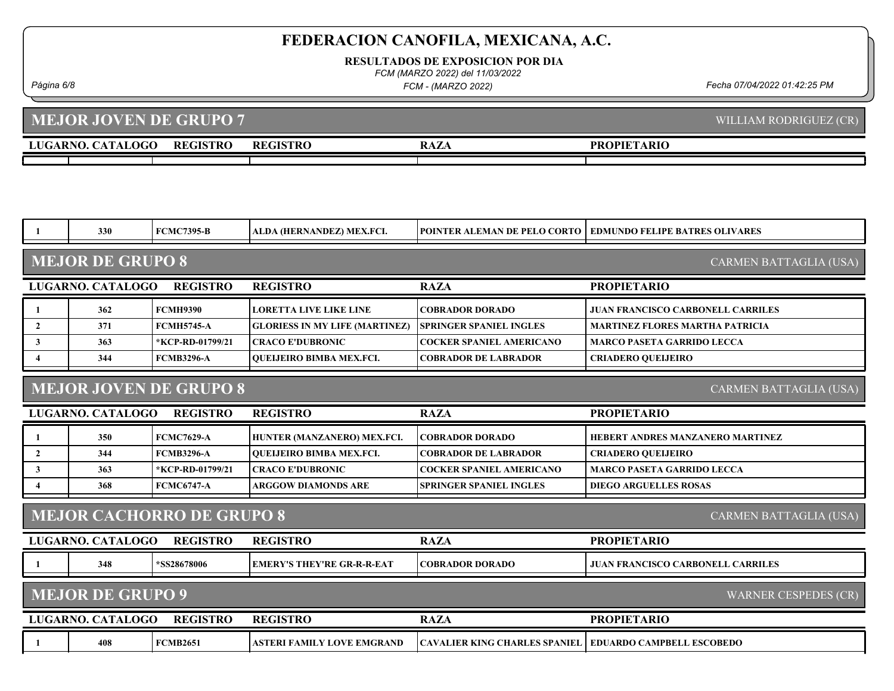RESULTADOS DE EXPOSICION POR DIA

FCM (MARZO 2022) del 11/03/2022

FCM - (MARZO 2022)

Página 6/8 Fecha 07/04/2022 01:42:25 PM

#### LUGARNO. CATALOGO REGISTRO RAZA MEJOR JOVEN DE GRUPO 7 PROPIETARIO WILLIAM RODRIGUEZ (CR) REGISTRO

|                                                                   | 330                                                     | <b>FCMC7395-B</b> | ALDA (HERNANDEZ) MEX.FCI.             | POINTER ALEMAN DE PELO CORTO         | <b>EDMUNDO FELIPE BATRES OLIVARES</b>    |  |
|-------------------------------------------------------------------|---------------------------------------------------------|-------------------|---------------------------------------|--------------------------------------|------------------------------------------|--|
| <b>MEJOR DE GRUPO 8</b><br><b>CARMEN BATTAGLIA (USA)</b>          |                                                         |                   |                                       |                                      |                                          |  |
|                                                                   | LUGARNO. CATALOGO                                       | <b>REGISTRO</b>   | <b>REGISTRO</b>                       | <b>RAZA</b>                          | <b>PROPIETARIO</b>                       |  |
| 1                                                                 | 362                                                     | <b>FCMH9390</b>   | <b>LORETTA LIVE LIKE LINE</b>         | <b>COBRADOR DORADO</b>               | <b>JUAN FRANCISCO CARBONELL CARRILES</b> |  |
| $\overline{2}$                                                    | 371                                                     | <b>FCMH5745-A</b> | <b>GLORIESS IN MY LIFE (MARTINEZ)</b> | <b>SPRINGER SPANIEL INGLES</b>       | <b>MARTINEZ FLORES MARTHA PATRICIA</b>   |  |
| $\mathbf{3}$                                                      | 363                                                     | *KCP-RD-01799/21  | <b>CRACO E'DUBRONIC</b>               | <b>COCKER SPANIEL AMERICANO</b>      | <b>MARCO PASETA GARRIDO LECCA</b>        |  |
| $\overline{\bf{4}}$                                               | 344                                                     | <b>FCMB3296-A</b> | <b>OUEIJEIRO BIMBA MEX.FCI.</b>       | <b>COBRADOR DE LABRADOR</b>          | <b>CRIADERO QUEIJEIRO</b>                |  |
|                                                                   | <b>MEJOR JOVEN DE GRUPO 8</b><br>CARMEN BATTAGLIA (USA) |                   |                                       |                                      |                                          |  |
|                                                                   | LUGARNO. CATALOGO                                       | <b>REGISTRO</b>   | <b>REGISTRO</b>                       | <b>RAZA</b>                          | <b>PROPIETARIO</b>                       |  |
| -1                                                                | 350                                                     | <b>FCMC7629-A</b> | HUNTER (MANZANERO) MEX.FCI.           | <b>COBRADOR DORADO</b>               | HEBERT ANDRES MANZANERO MARTINEZ         |  |
| $\overline{2}$                                                    | 344                                                     | <b>FCMB3296-A</b> | <b>OUEIJEIRO BIMBA MEX.FCI.</b>       | <b>COBRADOR DE LABRADOR</b>          | <b>CRIADERO QUELJEIRO</b>                |  |
| $\mathbf{3}$                                                      | 363                                                     | *KCP-RD-01799/21  | <b>CRACO E'DUBRONIC</b>               | <b>COCKER SPANIEL AMERICANO</b>      | <b>MARCO PASETA GARRIDO LECCA</b>        |  |
| $\overline{\mathbf{4}}$                                           | 368                                                     | <b>FCMC6747-A</b> | <b>ARGGOW DIAMONDS ARE</b>            | <b>SPRINGER SPANIEL INGLES</b>       | <b>DIEGO ARGUELLES ROSAS</b>             |  |
| <b>MEJOR CACHORRO DE GRUPO 8</b><br><b>CARMEN BATTAGLIA (USA)</b> |                                                         |                   |                                       |                                      |                                          |  |
|                                                                   | LUGARNO. CATALOGO                                       | <b>REGISTRO</b>   | <b>REGISTRO</b>                       | <b>RAZA</b>                          | <b>PROPIETARIO</b>                       |  |
|                                                                   | 348                                                     | *SS28678006       | <b>EMERY'S THEY'RE GR-R-R-EAT</b>     | <b>COBRADOR DORADO</b>               | <b>JUAN FRANCISCO CARBONELL CARRILES</b> |  |
|                                                                   | <b>MEJOR DE GRUPO 9</b>                                 |                   |                                       |                                      | WARNER CESPEDES (CR)                     |  |
|                                                                   | LUGARNO. CATALOGO                                       | <b>REGISTRO</b>   | <b>REGISTRO</b>                       | <b>RAZA</b>                          | <b>PROPIETARIO</b>                       |  |
|                                                                   | 408                                                     | <b>FCMB2651</b>   | <b>ASTERI FAMILY LOVE EMGRAND</b>     | <b>CAVALIER KING CHARLES SPANIEL</b> | <b>EDUARDO CAMPBELL ESCOBEDO</b>         |  |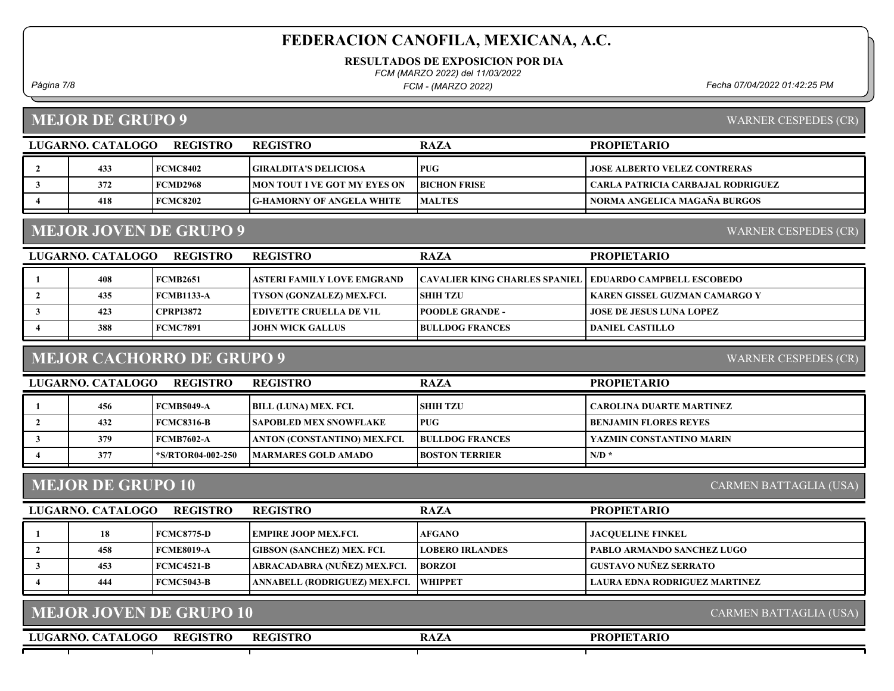RESULTADOS DE EXPOSICION POR DIA

FCM (MARZO 2022) del 11/03/2022

FCM - (MARZO 2022)

Página 7/8 Fecha 07/04/2022 01:42:25 PM

MEJOR DE GRUPO 9

WARNER CESPEDES (CR)

WARNER CESPEDES (CR)

| LUGARNO. CATALOGO | REGISTRO        | <b>REGISTRO</b>                      | <b>RAZA</b>         | <b>PROPIETARIO</b>                  |
|-------------------|-----------------|--------------------------------------|---------------------|-------------------------------------|
| 433               | <b>FCMC8402</b> | GIRALDITA'S DELICIOSA                | <b>PUG</b>          | <b>JOSE ALBERTO VELEZ CONTRERAS</b> |
| 372               | <b>FCMD2968</b> | <b>IMON TOUT I VE GOT MY EYES ON</b> | <b>BICHON FRISE</b> | CARLA PATRICIA CARBAJAL RODRIGUEZ   |
| 418               | <b>FCMC8202</b> | <b>G-HAMORNY OF ANGELA WHITE</b>     | <b>MALTES</b>       | NORMA ANGELICA MAGAÑA BURGOS        |

### MEJOR JOVEN DE GRUPO 9

LUGARNO. CATALOGO REGISTRO RAZA PROPIETARIO REGISTRO 1 408 FCMB2651 ASTERI FAMILY LOVE EMGRAND CAVALIER KING CHARLES SPANIEL EDUARDO CAMPBELL ESCOBEDO 2 | 435 FCMB1133-A TYSON (GONZALEZ) MEX.FCI. SHIH TZU | KAREN GISSEL GUZMAN CAMARGO Y 3 423 CPRPI3872 EDIVETTE CRUELLA DE V1L POODLE GRANDE - JOSE DE JESUS LUNA LOPEZ 4 388 FCMC7891 JOHN WICK GALLUS BULLDOG FRANCES DANIEL CASTILLO

#### MEJOR CACHORRO DE GRUPO 9

WARNER CESPEDES (CR)

| LUGARNO. CATALOGO | <b>REGISTRO</b>   | <b>REGISTRO</b>               | <b>RAZA</b>            | <b>PROPIETARIO</b>              |
|-------------------|-------------------|-------------------------------|------------------------|---------------------------------|
| 456               | <b>FCMB5049-A</b> | BILL (LUNA) MEX. FCI.         | <b>SHIH TZU</b>        | <b>CAROLINA DUARTE MARTINEZ</b> |
| 432               | FCMC8316-B        | <b>SAPOBLED MEX SNOWFLAKE</b> | <b>PUG</b>             | <b>BENJAMIN FLORES REYES</b>    |
| 379               | FCMB7602-A        | ANTON (CONSTANTINO) MEX.FCI.  | <b>BULLDOG FRANCES</b> | YAZMIN CONSTANTINO MARIN        |
| 377               | *S/RTOR04-002-250 | MARMARES GOLD AMADO           | <b>BOSTON TERRIER</b>  | $N/D^*$                         |

#### MEJOR DE GRUPO 10

CARMEN BATTAGLIA (USA)

| LUGARNO. CATALOGO | <b>REGISTRO</b> | <b>REGISTRO</b>                       | <b>RAZA</b>            | <b>PROPIETARIO</b>                |
|-------------------|-----------------|---------------------------------------|------------------------|-----------------------------------|
| 18                | FCMC8775-D      | <b>LEMPIRE JOOP MEX.FCL.</b>          | <b>AFGANO</b>          | <b>JACOUELINE FINKEL</b>          |
| 458               | FCME8019-A      | <b>GIBSON (SANCHEZ) MEX. FCI.</b>     | <b>LOBERO IRLANDES</b> | <b>PABLO ARMANDO SANCHEZ LUGO</b> |
| 453               | FCMC4521-B      | ABRACADABRA (NUÑEZ) MEX.FCI.          | <b>BORZOI</b>          | GUSTAVO NUÑEZ SERRATO             |
| 444               | FCMC5043-B      | ANNABELL (RODRIGUEZ) MEX.FCI. WHIPPET |                        | LAURA EDNA RODRIGUEZ MARTINEZ     |

| <b>MEJOR JOVEN DE GRUPO 10</b> |  |
|--------------------------------|--|
|                                |  |

LUGARNO. CATALOGO REGISTRO RAZA REGISTRO

CARMEN BATTAGLIA (USA)

### PROPIETARIO